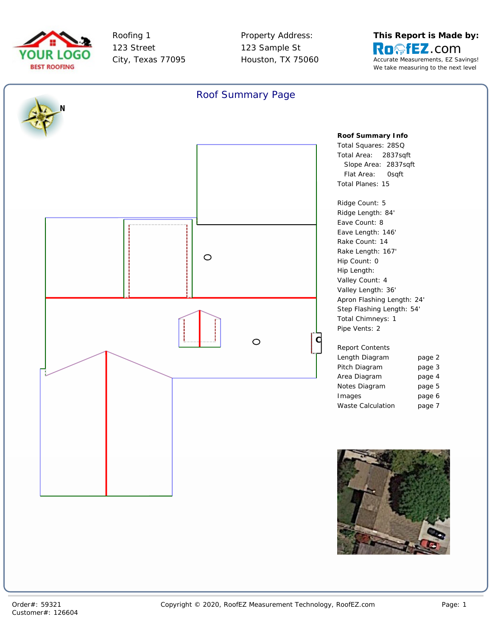



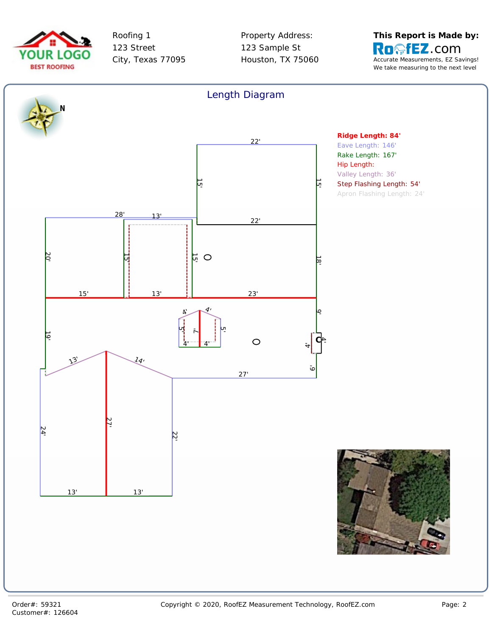



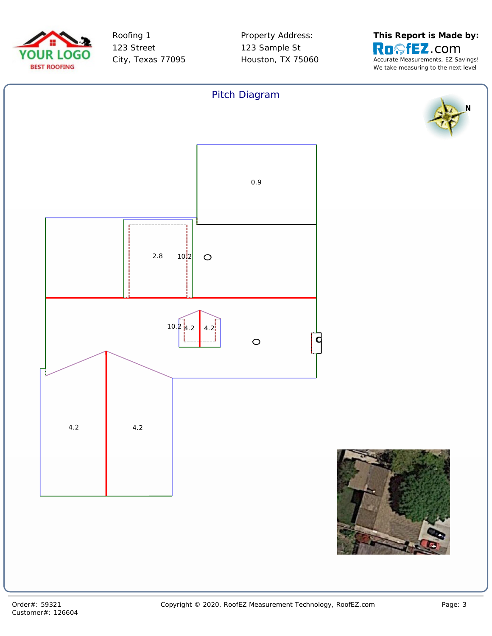



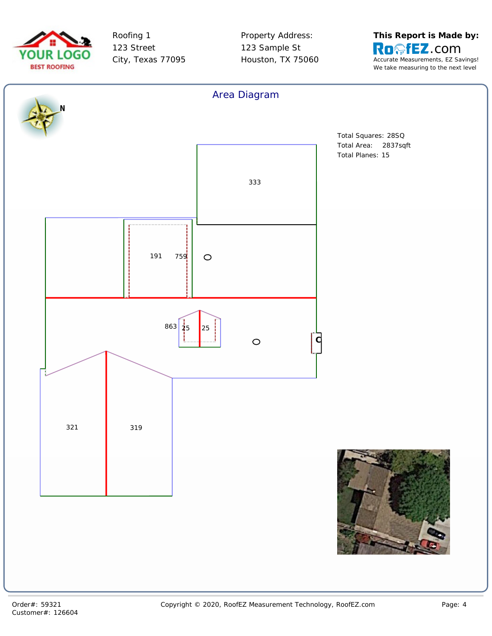



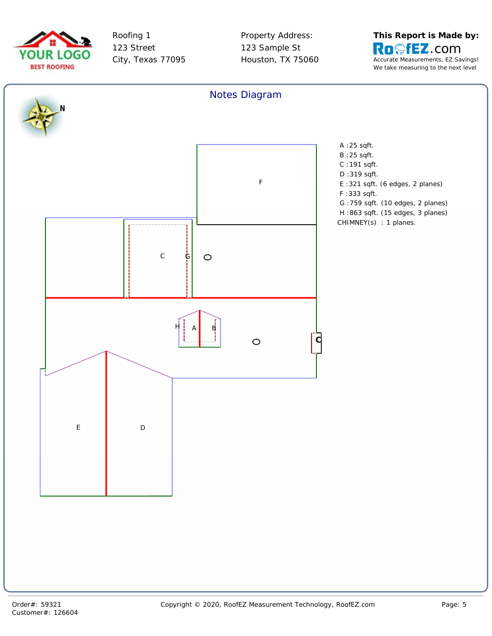



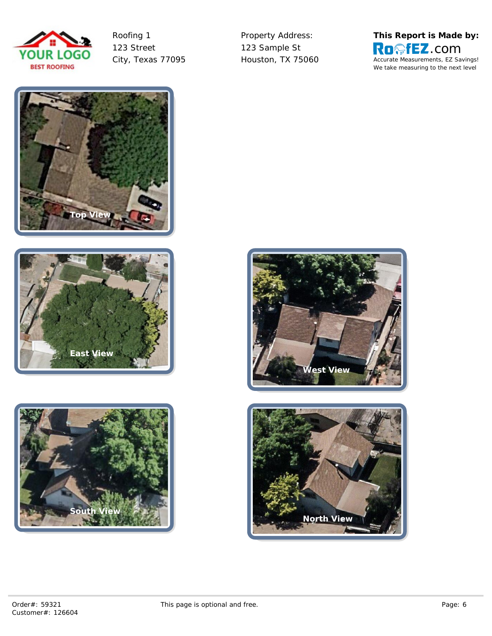